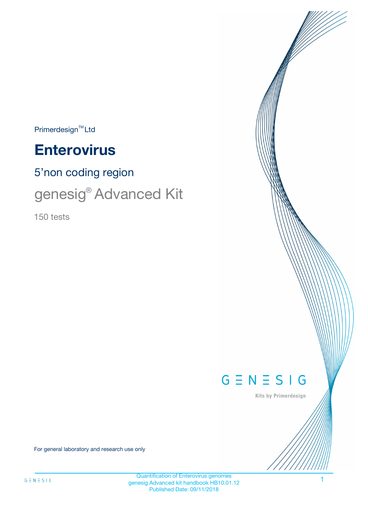$Primerdesign^{\text{TM}}Ltd$ 

# **Enterovirus**

5'non coding region

genesig® Advanced Kit

150 tests



Kits by Primerdesign

For general laboratory and research use only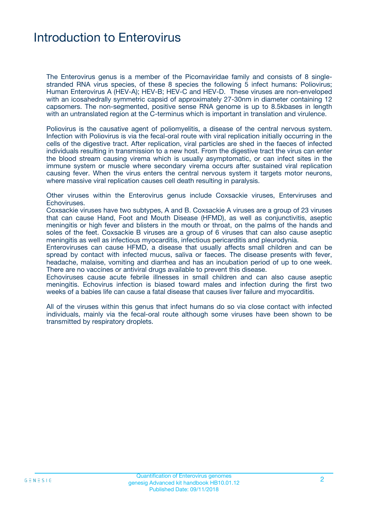### Introduction to Enterovirus

The Enterovirus genus is a member of the Picornaviridae family and consists of 8 singlestranded RNA virus species, of these 8 species the following 5 infect humans: Poliovirus; Human Enterovirus A (HEV-A); HEV-B; HEV-C and HEV-D. These viruses are non-enveloped with an icosahedrally symmetric capsid of approximately 27-30nm in diameter containing 12 capsomers. The non-segmented, positive sense RNA genome is up to 8.5kbases in length with an untranslated region at the C-terminus which is important in translation and virulence.

Poliovirus is the causative agent of poliomyelitis, a disease of the central nervous system. Infection with Poliovirus is via the fecal-oral route with viral replication initially occurring in the cells of the digestive tract. After replication, viral particles are shed in the faeces of infected individuals resulting in transmission to a new host. From the digestive tract the virus can enter the blood stream causing virema which is usually asymptomatic, or can infect sites in the immune system or muscle where secondary virema occurs after sustained viral replication causing fever. When the virus enters the central nervous system it targets motor neurons, where massive viral replication causes cell death resulting in paralysis.

Other viruses within the Enterovirus genus include Coxsackie viruses, Enterviruses and Echoviruses.

Coxsackie viruses have two subtypes, A and B. Coxsackie A viruses are a group of 23 viruses that can cause Hand, Foot and Mouth Disease (HFMD), as well as conjunctivitis, aseptic meningitis or high fever and blisters in the mouth or throat, on the palms of the hands and soles of the feet. Coxsackie B viruses are a group of 6 viruses that can also cause aseptic meningitis as well as infectious myocarditis, infectious pericarditis and pleurodynia.

Enteroviruses can cause HFMD, a disease that usually affects small children and can be spread by contact with infected mucus, saliva or faeces. The disease presents with fever, headache, malaise, vomiting and diarrhea and has an incubation period of up to one week. There are no vaccines or antiviral drugs available to prevent this disease.

Echoviruses cause acute febrile illnesses in small children and can also cause aseptic meningitis. Echovirus infection is biased toward males and infection during the first two weeks of a babies life can cause a fatal disease that causes liver failure and myocarditis.

All of the viruses within this genus that infect humans do so via close contact with infected individuals, mainly via the fecal-oral route although some viruses have been shown to be transmitted by respiratory droplets.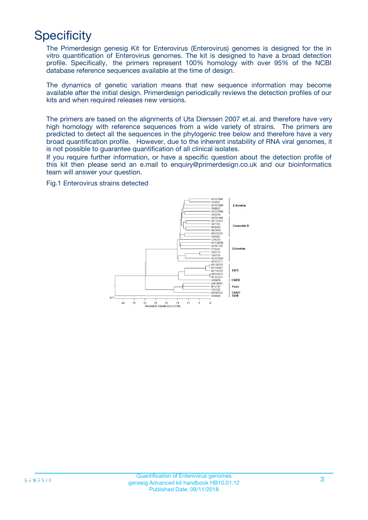## **Specificity**

The Primerdesign genesig Kit for Enterovirus (Enterovirus) genomes is designed for the in vitro quantification of Enterovirus genomes. The kit is designed to have a broad detection profile. Specifically, the primers represent 100% homology with over 95% of the NCBI database reference sequences available at the time of design.

The dynamics of genetic variation means that new sequence information may become available after the initial design. Primerdesign periodically reviews the detection profiles of our kits and when required releases new versions.

The primers are based on the alignments of Uta Dierssen 2007 et.al. and therefore have very high homology with reference sequences from a wide variety of strains. The primers are predicted to detect all the sequences in the phylogenic tree below and therefore have a very broad quantification profile. However, due to the inherent instability of RNA viral genomes, it is not possible to guarantee quantification of all clinical isolates.

If you require further information, or have a specific question about the detection profile of this kit then please send an e.mail to enquiry@primerdesign.co.uk and our bioinformatics team will answer your question.

#### Fig.1 Enterovirus strains detected

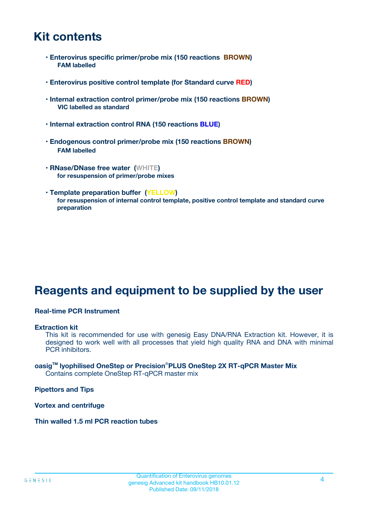### **Kit contents**

- **Enterovirus specific primer/probe mix (150 reactions BROWN) FAM labelled**
- **Enterovirus positive control template (for Standard curve RED)**
- **Internal extraction control primer/probe mix (150 reactions BROWN) VIC labelled as standard**
- **Internal extraction control RNA (150 reactions BLUE)**
- **Endogenous control primer/probe mix (150 reactions BROWN) FAM labelled**
- **RNase/DNase free water (WHITE) for resuspension of primer/probe mixes**
- **Template preparation buffer (YELLOW) for resuspension of internal control template, positive control template and standard curve preparation**

### **Reagents and equipment to be supplied by the user**

#### **Real-time PCR Instrument**

#### **Extraction kit**

This kit is recommended for use with genesig Easy DNA/RNA Extraction kit. However, it is designed to work well with all processes that yield high quality RNA and DNA with minimal PCR inhibitors.

#### **oasigTM lyophilised OneStep or Precision**®**PLUS OneStep 2X RT-qPCR Master Mix** Contains complete OneStep RT-qPCR master mix

**Pipettors and Tips**

**Vortex and centrifuge**

**Thin walled 1.5 ml PCR reaction tubes**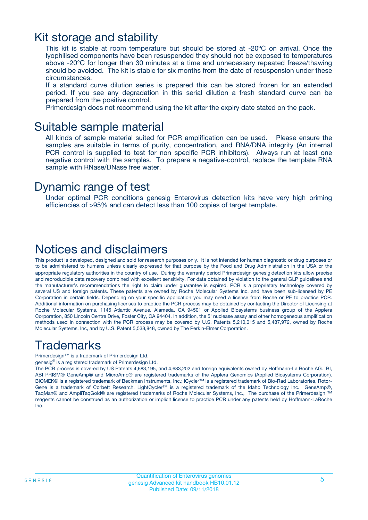### Kit storage and stability

This kit is stable at room temperature but should be stored at -20ºC on arrival. Once the lyophilised components have been resuspended they should not be exposed to temperatures above -20°C for longer than 30 minutes at a time and unnecessary repeated freeze/thawing should be avoided. The kit is stable for six months from the date of resuspension under these circumstances.

If a standard curve dilution series is prepared this can be stored frozen for an extended period. If you see any degradation in this serial dilution a fresh standard curve can be prepared from the positive control.

Primerdesign does not recommend using the kit after the expiry date stated on the pack.

### Suitable sample material

All kinds of sample material suited for PCR amplification can be used. Please ensure the samples are suitable in terms of purity, concentration, and RNA/DNA integrity (An internal PCR control is supplied to test for non specific PCR inhibitors). Always run at least one negative control with the samples. To prepare a negative-control, replace the template RNA sample with RNase/DNase free water.

### Dynamic range of test

Under optimal PCR conditions genesig Enterovirus detection kits have very high priming efficiencies of >95% and can detect less than 100 copies of target template.

### Notices and disclaimers

This product is developed, designed and sold for research purposes only. It is not intended for human diagnostic or drug purposes or to be administered to humans unless clearly expressed for that purpose by the Food and Drug Administration in the USA or the appropriate regulatory authorities in the country of use. During the warranty period Primerdesign genesig detection kits allow precise and reproducible data recovery combined with excellent sensitivity. For data obtained by violation to the general GLP guidelines and the manufacturer's recommendations the right to claim under guarantee is expired. PCR is a proprietary technology covered by several US and foreign patents. These patents are owned by Roche Molecular Systems Inc. and have been sub-licensed by PE Corporation in certain fields. Depending on your specific application you may need a license from Roche or PE to practice PCR. Additional information on purchasing licenses to practice the PCR process may be obtained by contacting the Director of Licensing at Roche Molecular Systems, 1145 Atlantic Avenue, Alameda, CA 94501 or Applied Biosystems business group of the Applera Corporation, 850 Lincoln Centre Drive, Foster City, CA 94404. In addition, the 5' nuclease assay and other homogeneous amplification methods used in connection with the PCR process may be covered by U.S. Patents 5,210,015 and 5,487,972, owned by Roche Molecular Systems, Inc, and by U.S. Patent 5,538,848, owned by The Perkin-Elmer Corporation.

### Trademarks

Primerdesign™ is a trademark of Primerdesign Ltd.

genesig® is a registered trademark of Primerdesign Ltd.

The PCR process is covered by US Patents 4,683,195, and 4,683,202 and foreign equivalents owned by Hoffmann-La Roche AG. BI, ABI PRISM® GeneAmp® and MicroAmp® are registered trademarks of the Applera Genomics (Applied Biosystems Corporation). BIOMEK® is a registered trademark of Beckman Instruments, Inc.; iCycler™ is a registered trademark of Bio-Rad Laboratories, Rotor-Gene is a trademark of Corbett Research. LightCycler™ is a registered trademark of the Idaho Technology Inc. GeneAmp®, TaqMan® and AmpliTaqGold® are registered trademarks of Roche Molecular Systems, Inc., The purchase of the Primerdesign ™ reagents cannot be construed as an authorization or implicit license to practice PCR under any patents held by Hoffmann-LaRoche Inc.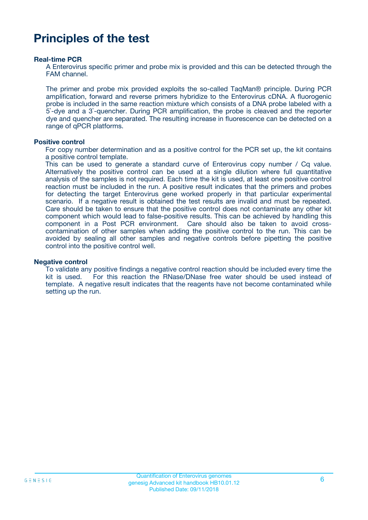### **Principles of the test**

#### **Real-time PCR**

A Enterovirus specific primer and probe mix is provided and this can be detected through the FAM channel.

The primer and probe mix provided exploits the so-called TaqMan® principle. During PCR amplification, forward and reverse primers hybridize to the Enterovirus cDNA. A fluorogenic probe is included in the same reaction mixture which consists of a DNA probe labeled with a 5`-dye and a 3`-quencher. During PCR amplification, the probe is cleaved and the reporter dye and quencher are separated. The resulting increase in fluorescence can be detected on a range of qPCR platforms.

#### **Positive control**

For copy number determination and as a positive control for the PCR set up, the kit contains a positive control template.

This can be used to generate a standard curve of Enterovirus copy number / Cq value. Alternatively the positive control can be used at a single dilution where full quantitative analysis of the samples is not required. Each time the kit is used, at least one positive control reaction must be included in the run. A positive result indicates that the primers and probes for detecting the target Enterovirus gene worked properly in that particular experimental scenario. If a negative result is obtained the test results are invalid and must be repeated. Care should be taken to ensure that the positive control does not contaminate any other kit component which would lead to false-positive results. This can be achieved by handling this component in a Post PCR environment. Care should also be taken to avoid crosscontamination of other samples when adding the positive control to the run. This can be avoided by sealing all other samples and negative controls before pipetting the positive control into the positive control well.

#### **Negative control**

To validate any positive findings a negative control reaction should be included every time the kit is used. For this reaction the RNase/DNase free water should be used instead of template. A negative result indicates that the reagents have not become contaminated while setting up the run.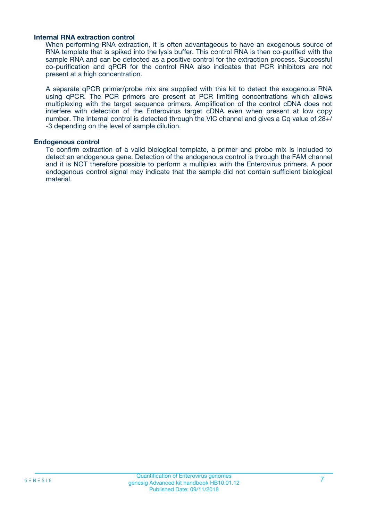#### **Internal RNA extraction control**

When performing RNA extraction, it is often advantageous to have an exogenous source of RNA template that is spiked into the lysis buffer. This control RNA is then co-purified with the sample RNA and can be detected as a positive control for the extraction process. Successful co-purification and qPCR for the control RNA also indicates that PCR inhibitors are not present at a high concentration.

A separate qPCR primer/probe mix are supplied with this kit to detect the exogenous RNA using qPCR. The PCR primers are present at PCR limiting concentrations which allows multiplexing with the target sequence primers. Amplification of the control cDNA does not interfere with detection of the Enterovirus target cDNA even when present at low copy number. The Internal control is detected through the VIC channel and gives a Cq value of 28+/ -3 depending on the level of sample dilution.

#### **Endogenous control**

To confirm extraction of a valid biological template, a primer and probe mix is included to detect an endogenous gene. Detection of the endogenous control is through the FAM channel and it is NOT therefore possible to perform a multiplex with the Enterovirus primers. A poor endogenous control signal may indicate that the sample did not contain sufficient biological material.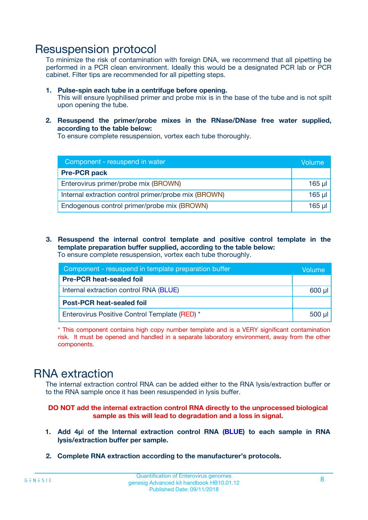### Resuspension protocol

To minimize the risk of contamination with foreign DNA, we recommend that all pipetting be performed in a PCR clean environment. Ideally this would be a designated PCR lab or PCR cabinet. Filter tips are recommended for all pipetting steps.

- **1. Pulse-spin each tube in a centrifuge before opening.** This will ensure lyophilised primer and probe mix is in the base of the tube and is not spilt upon opening the tube.
- **2. Resuspend the primer/probe mixes in the RNase/DNase free water supplied, according to the table below:**

To ensure complete resuspension, vortex each tube thoroughly.

| Component - resuspend in water                       |          |  |
|------------------------------------------------------|----------|--|
| <b>Pre-PCR pack</b>                                  |          |  |
| Enterovirus primer/probe mix (BROWN)                 | $165$ µl |  |
| Internal extraction control primer/probe mix (BROWN) | $165$ µl |  |
| Endogenous control primer/probe mix (BROWN)          | 165 µl   |  |

**3. Resuspend the internal control template and positive control template in the template preparation buffer supplied, according to the table below:** To ensure complete resuspension, vortex each tube thoroughly.

| Component - resuspend in template preparation buffer |             |  |  |
|------------------------------------------------------|-------------|--|--|
| <b>Pre-PCR heat-sealed foil</b>                      |             |  |  |
| Internal extraction control RNA (BLUE)               |             |  |  |
| <b>Post-PCR heat-sealed foil</b>                     |             |  |  |
| Enterovirus Positive Control Template (RED) *        | $500$ $\mu$ |  |  |

\* This component contains high copy number template and is a VERY significant contamination risk. It must be opened and handled in a separate laboratory environment, away from the other components.

### RNA extraction

The internal extraction control RNA can be added either to the RNA lysis/extraction buffer or to the RNA sample once it has been resuspended in lysis buffer.

#### **DO NOT add the internal extraction control RNA directly to the unprocessed biological sample as this will lead to degradation and a loss in signal.**

- **1. Add 4µ**l **of the Internal extraction control RNA (BLUE) to each sample in RNA lysis/extraction buffer per sample.**
- **2. Complete RNA extraction according to the manufacturer's protocols.**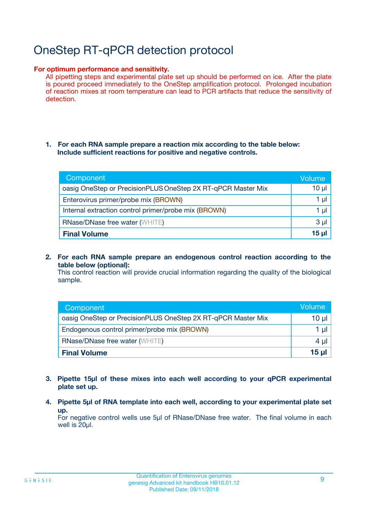# OneStep RT-qPCR detection protocol

#### **For optimum performance and sensitivity.**

All pipetting steps and experimental plate set up should be performed on ice. After the plate is poured proceed immediately to the OneStep amplification protocol. Prolonged incubation of reaction mixes at room temperature can lead to PCR artifacts that reduce the sensitivity of detection.

#### **1. For each RNA sample prepare a reaction mix according to the table below: Include sufficient reactions for positive and negative controls.**

| Component                                                    | Volume   |
|--------------------------------------------------------------|----------|
| oasig OneStep or PrecisionPLUS OneStep 2X RT-qPCR Master Mix | $10 \mu$ |
| Enterovirus primer/probe mix (BROWN)                         | 1 µl     |
| Internal extraction control primer/probe mix (BROWN)         | 1 µI     |
| <b>RNase/DNase free water (WHITE)</b>                        | $3 \mu$  |
| <b>Final Volume</b>                                          | 15 ul    |

**2. For each RNA sample prepare an endogenous control reaction according to the table below (optional):**

This control reaction will provide crucial information regarding the quality of the biological sample.

| Component                                                    | Volume   |
|--------------------------------------------------------------|----------|
| oasig OneStep or PrecisionPLUS OneStep 2X RT-qPCR Master Mix | 10 $\mu$ |
| Endogenous control primer/probe mix (BROWN)                  | 1 ul     |
| <b>RNase/DNase free water (WHITE)</b>                        | $4 \mu$  |
| <b>Final Volume</b>                                          | 15 µl    |

- **3. Pipette 15µl of these mixes into each well according to your qPCR experimental plate set up.**
- **4. Pipette 5µl of RNA template into each well, according to your experimental plate set up.**

For negative control wells use 5µl of RNase/DNase free water. The final volume in each well is 20µl.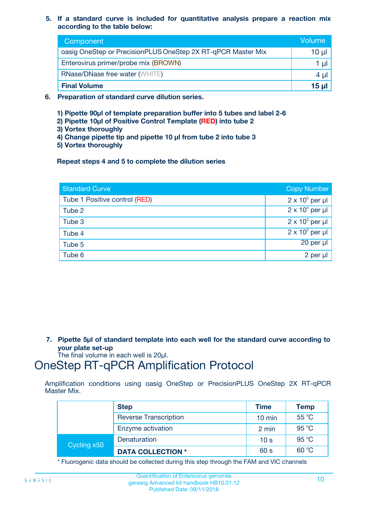**5. If a standard curve is included for quantitative analysis prepare a reaction mix according to the table below:**

| Component                                                    | Volume       |
|--------------------------------------------------------------|--------------|
| oasig OneStep or PrecisionPLUS OneStep 2X RT-qPCR Master Mix | $10 \mu$     |
| Enterovirus primer/probe mix (BROWN)                         |              |
| <b>RNase/DNase free water (WHITE)</b>                        | 4 U          |
| <b>Final Volume</b>                                          | <u>15 µl</u> |

- **6. Preparation of standard curve dilution series.**
	- **1) Pipette 90µl of template preparation buffer into 5 tubes and label 2-6**
	- **2) Pipette 10µl of Positive Control Template (RED) into tube 2**
	- **3) Vortex thoroughly**
	- **4) Change pipette tip and pipette 10 µl from tube 2 into tube 3**
	- **5) Vortex thoroughly**

**Repeat steps 4 and 5 to complete the dilution series**

| <b>Standard Curve</b>         | <b>Copy Number</b>     |
|-------------------------------|------------------------|
| Tube 1 Positive control (RED) | $2 \times 10^5$ per µl |
| Tube 2                        | $2 \times 10^4$ per µl |
| Tube 3                        | $2 \times 10^3$ per µl |
| Tube 4                        | $2 \times 10^2$ per µl |
| Tube 5                        | 20 per µl              |
| Tube 6                        | 2 per µl               |

**7. Pipette 5µl of standard template into each well for the standard curve according to your plate set-up**

The final volume in each well is 20µl.

### OneStep RT-qPCR Amplification Protocol

Amplification conditions using oasig OneStep or PrecisionPLUS OneStep 2X RT-qPCR Master Mix.

|             | <b>Step</b>                  | <b>Time</b>      | <b>Temp</b> |
|-------------|------------------------------|------------------|-------------|
|             | <b>Reverse Transcription</b> | $10 \text{ min}$ | 55 °C       |
|             | Enzyme activation            | 2 min            | 95 °C       |
| Cycling x50 | Denaturation                 | 10 <sub>s</sub>  | 95 °C       |
|             | <b>DATA COLLECTION *</b>     | 60 s             | 60 °C       |

\* Fluorogenic data should be collected during this step through the FAM and VIC channels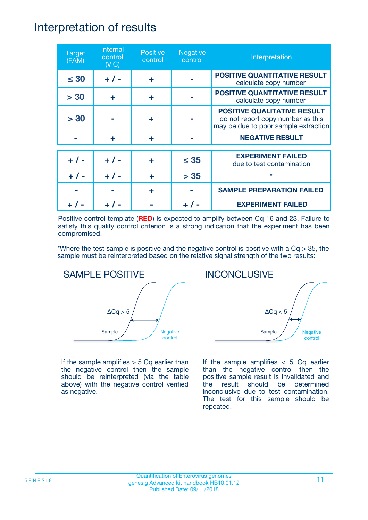### Interpretation of results

| <b>Target</b><br>(FAM) | Internal<br>control<br>(NIC) | <b>Positive</b><br>control | <b>Negative</b><br>control | Interpretation                                                                                                  |
|------------------------|------------------------------|----------------------------|----------------------------|-----------------------------------------------------------------------------------------------------------------|
| $\leq 30$              | $+ 1 -$                      | ÷                          |                            | <b>POSITIVE QUANTITATIVE RESULT</b><br>calculate copy number                                                    |
| > 30                   | ÷                            | ÷                          |                            | <b>POSITIVE QUANTITATIVE RESULT</b><br>calculate copy number                                                    |
| > 30                   |                              | ÷                          |                            | <b>POSITIVE QUALITATIVE RESULT</b><br>do not report copy number as this<br>may be due to poor sample extraction |
|                        | ÷                            | ÷                          |                            | <b>NEGATIVE RESULT</b>                                                                                          |
| $+ 1 -$                | $+ 1 -$                      | ÷                          | $\leq$ 35                  | <b>EXPERIMENT FAILED</b><br>due to test contamination                                                           |
|                        | $+$ / -                      |                            | > 35                       | $\star$                                                                                                         |
|                        |                              | ÷                          |                            | <b>SAMPLE PREPARATION FAILED</b>                                                                                |
|                        |                              |                            |                            | <b>EXPERIMENT FAILED</b>                                                                                        |

Positive control template (**RED**) is expected to amplify between Cq 16 and 23. Failure to satisfy this quality control criterion is a strong indication that the experiment has been compromised.

\*Where the test sample is positive and the negative control is positive with a  $Cq > 35$ , the sample must be reinterpreted based on the relative signal strength of the two results:



If the sample amplifies  $> 5$  Cq earlier than the negative control then the sample should be reinterpreted (via the table above) with the negative control verified as negative.



If the sample amplifies  $< 5$  Cq earlier than the negative control then the positive sample result is invalidated and the result should be determined inconclusive due to test contamination. The test for this sample should be repeated.